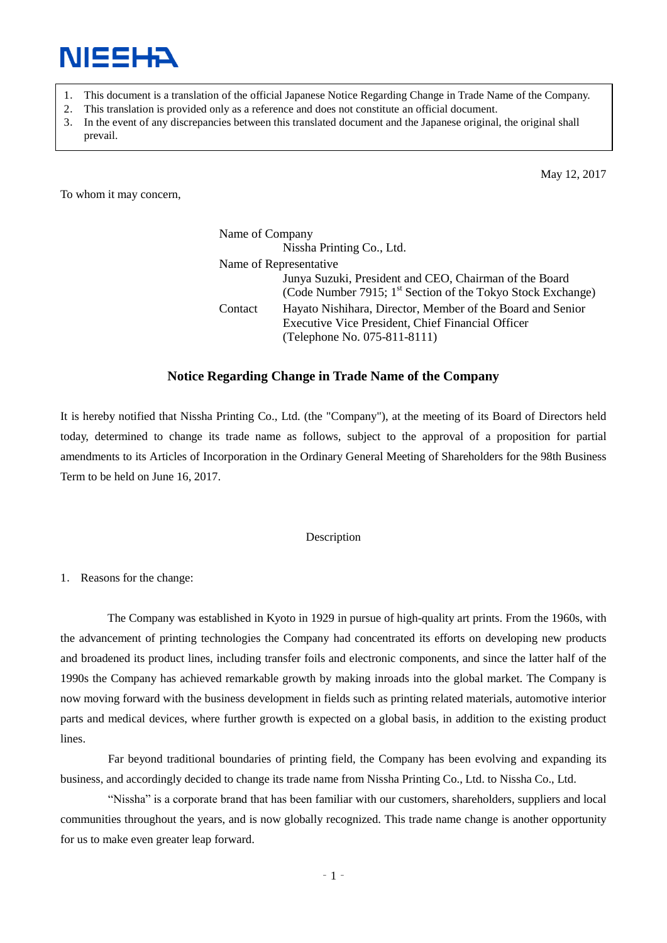

- 1. This document is a translation of the official Japanese Notice Regarding Change in Trade Name of the Company.
- 2. This translation is provided only as a reference and does not constitute an official document.
- 3. In the event of any discrepancies between this translated document and the Japanese original, the original shall prevail.

May 12, 2017

To whom it may concern,

Name of Company Nissha Printing Co., Ltd. Name of Representative Junya Suzuki, President and CEO, Chairman of the Board (Code Number 7915;  $1<sup>st</sup>$  Section of the Tokyo Stock Exchange) Contact Hayato Nishihara, Director, Member of the Board and Senior Executive Vice President, Chief Financial Officer (Telephone No. 075-811-8111)

## **Notice Regarding Change in Trade Name of the Company**

It is hereby notified that Nissha Printing Co., Ltd. (the "Company"), at the meeting of its Board of Directors held today, determined to change its trade name as follows, subject to the approval of a proposition for partial amendments to its Articles of Incorporation in the Ordinary General Meeting of Shareholders for the 98th Business Term to be held on June 16, 2017.

## Description

1. Reasons for the change:

The Company was established in Kyoto in 1929 in pursue of high-quality art prints. From the 1960s, with the advancement of printing technologies the Company had concentrated its efforts on developing new products and broadened its product lines, including transfer foils and electronic components, and since the latter half of the 1990s the Company has achieved remarkable growth by making inroads into the global market. The Company is now moving forward with the business development in fields such as printing related materials, automotive interior parts and medical devices, where further growth is expected on a global basis, in addition to the existing product lines.

Far beyond traditional boundaries of printing field, the Company has been evolving and expanding its business, and accordingly decided to change its trade name from Nissha Printing Co., Ltd. to Nissha Co., Ltd.

"Nissha" is a corporate brand that has been familiar with our customers, shareholders, suppliers and local communities throughout the years, and is now globally recognized. This trade name change is another opportunity for us to make even greater leap forward.